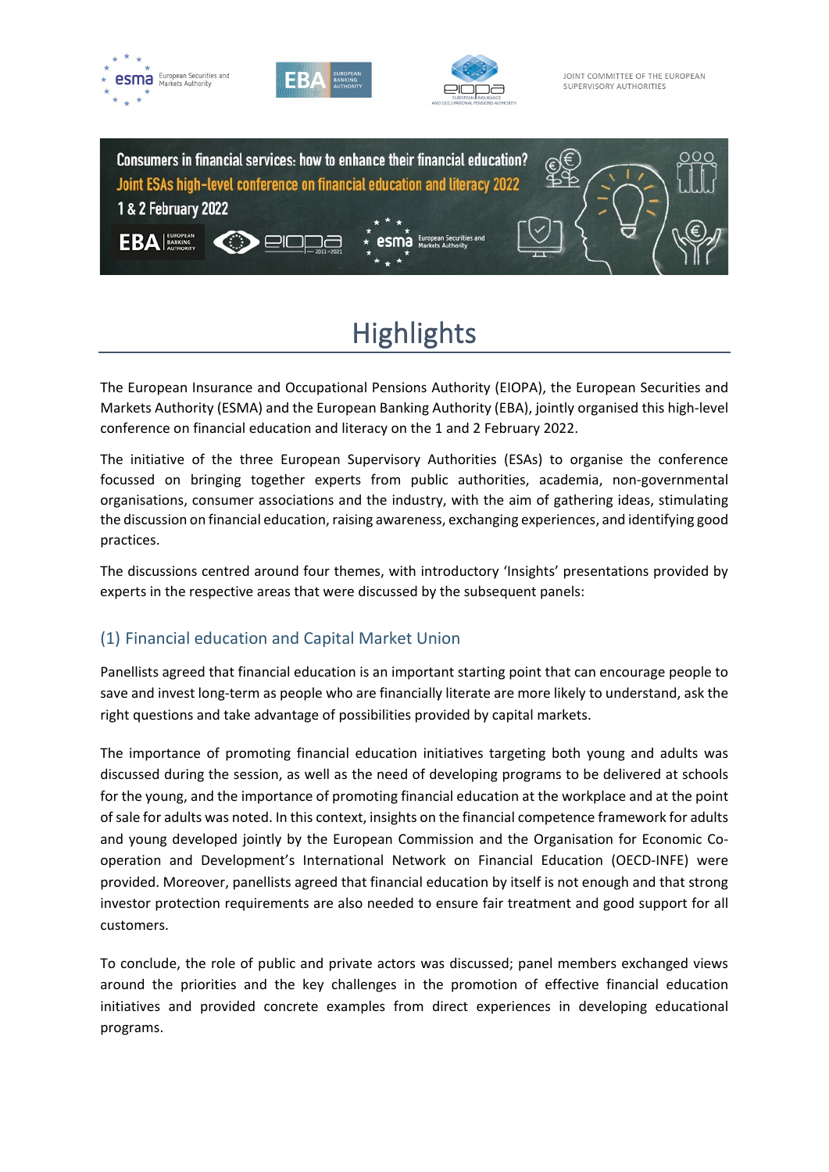

# **Highlights**

The European Insurance and Occupational Pensions Authority (EIOPA), the European Securities and Markets Authority (ESMA) and the European Banking Authority (EBA), jointly organised this high-level conference on financial education and literacy on the 1 and 2 February 2022.

The initiative of the three European Supervisory Authorities (ESAs) to organise the conference focussed on bringing together experts from public authorities, academia, non-governmental organisations, consumer associations and the industry, with the aim of gathering ideas, stimulating the discussion on financial education, raising awareness, exchanging experiences, and identifying good practices.

The discussions centred around four themes, with introductory 'Insights' presentations provided by experts in the respective areas that were discussed by the subsequent panels:

# (1) Financial education and Capital Market Union

Panellists agreed that financial education is an important starting point that can encourage people to save and invest long-term as people who are financially literate are more likely to understand, ask the right questions and take advantage of possibilities provided by capital markets.

The importance of promoting financial education initiatives targeting both young and adults was discussed during the session, as well as the need of developing programs to be delivered at schools for the young, and the importance of promoting financial education at the workplace and at the point of sale for adults was noted. In this context, insights on the financial competence framework for adults and young developed jointly by the European Commission and the Organisation for Economic Cooperation and Development's International Network on Financial Education (OECD-INFE) were provided. Moreover, panellists agreed that financial education by itself is not enough and that strong investor protection requirements are also needed to ensure fair treatment and good support for all customers.

To conclude, the role of public and private actors was discussed; panel members exchanged views around the priorities and the key challenges in the promotion of effective financial education initiatives and provided concrete examples from direct experiences in developing educational programs.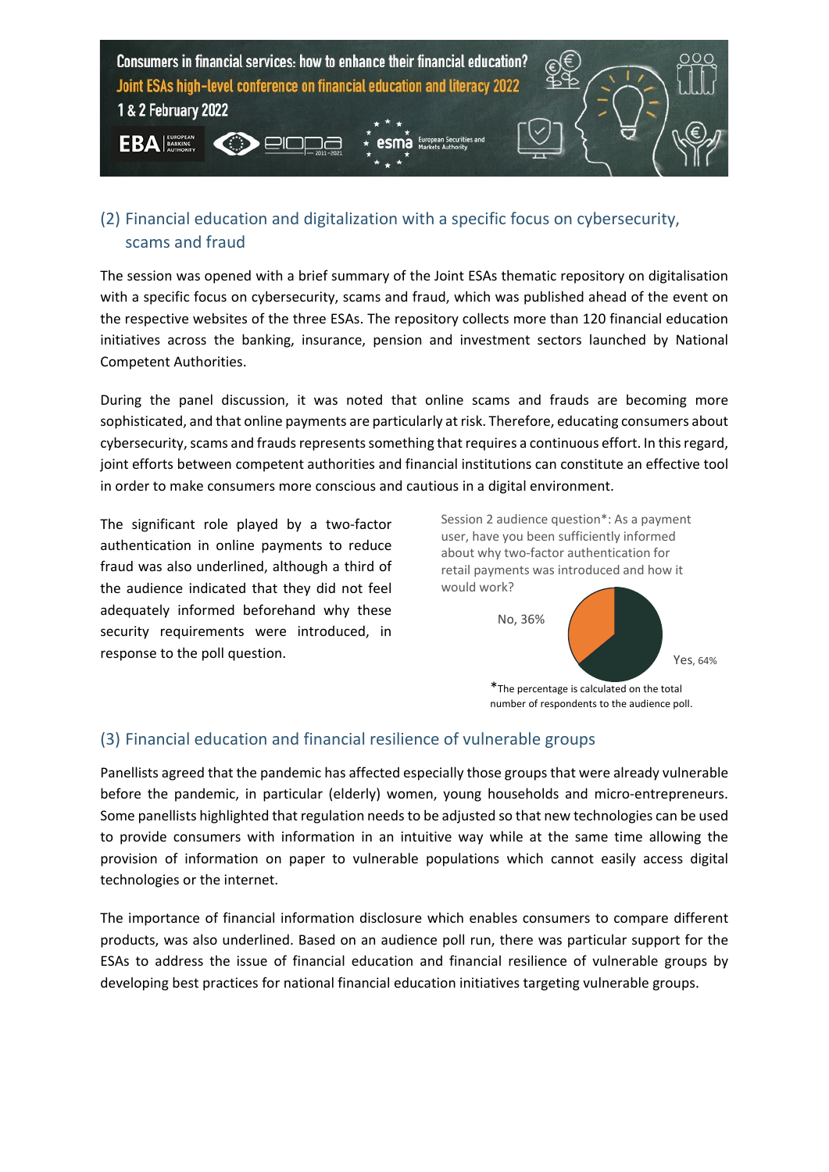

# (2) Financial education and digitalization with a specific focus on cybersecurity, scams and fraud

The session was opened with a brief summary of the Joint ESAs thematic repository on digitalisation with a specific focus on cybersecurity, scams and fraud, which was published ahead of the event on the respective websites of the three ESAs. The repository collects more than 120 financial education initiatives across the banking, insurance, pension and investment sectors launched by National Competent Authorities.

During the panel discussion, it was noted that online scams and frauds are becoming more sophisticated, and that online payments are particularly at risk. Therefore, educating consumers about cybersecurity, scams and frauds represents something that requires a continuous effort. In this regard, joint efforts between competent authorities and financial institutions can constitute an effective tool in order to make consumers more conscious and cautious in a digital environment.

The significant role played by a two-factor authentication in online payments to reduce fraud was also underlined, although a third of the audience indicated that they did not feel adequately informed beforehand why these security requirements were introduced, in response to the poll question.

Session 2 audience question\*: As a payment user, have you been sufficiently informed about why two-factor authentication for retail payments was introduced and how it would work?



# (3) Financial education and financial resilience of vulnerable groups

Panellists agreed that the pandemic has affected especially those groups that were already vulnerable before the pandemic, in particular (elderly) women, young households and micro-entrepreneurs. Some panellists highlighted that regulation needs to be adjusted so that new technologies can be used to provide consumers with information in an intuitive way while at the same time allowing the provision of information on paper to vulnerable populations which cannot easily access digital technologies or the internet.

The importance of financial information disclosure which enables consumers to compare different products, was also underlined. Based on an audience poll run, there was particular support for the ESAs to address the issue of financial education and financial resilience of vulnerable groups by developing best practices for national financial education initiatives targeting vulnerable groups.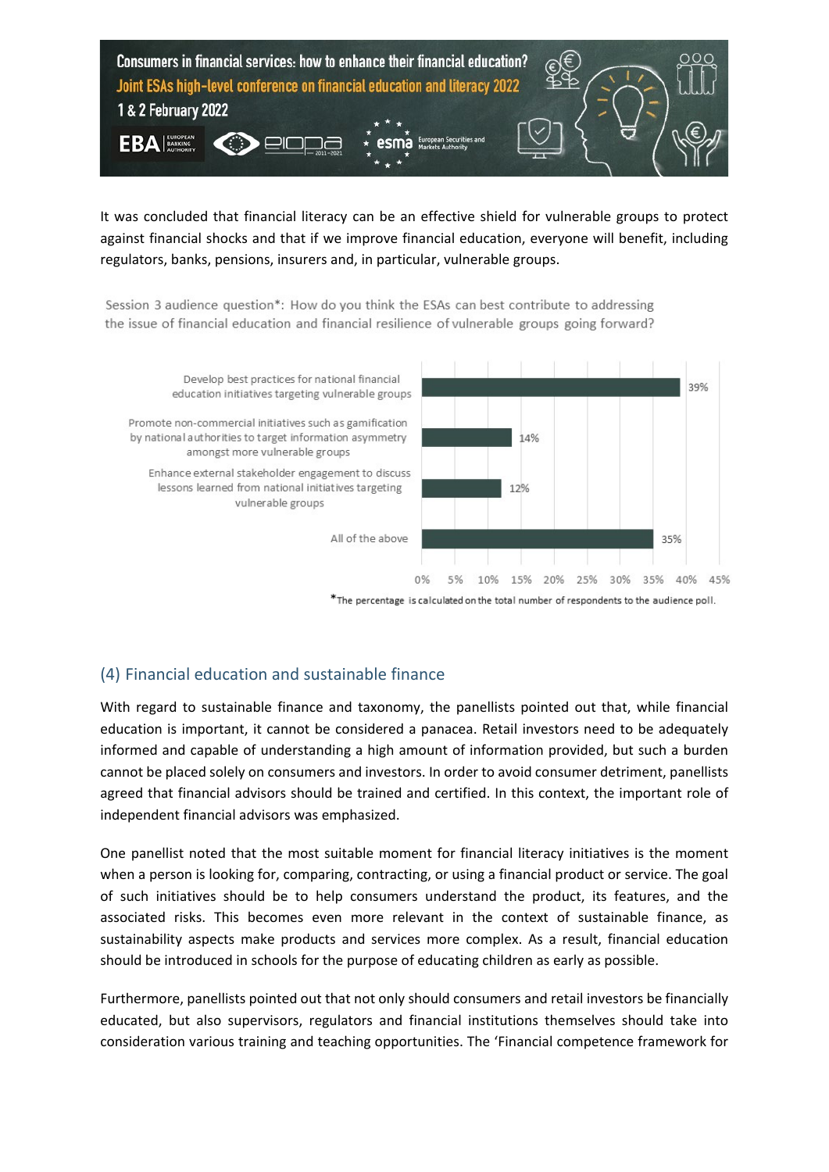

It was concluded that financial literacy can be an effective shield for vulnerable groups to protect against financial shocks and that if we improve financial education, everyone will benefit, including regulators, banks, pensions, insurers and, in particular, vulnerable groups.

Session 3 audience question\*: How do you think the ESAs can best contribute to addressing the issue of financial education and financial resilience of vulnerable groups going forward?



\*The percentage is calculated on the total number of respondents to the audience poll.

# (4) Financial education and sustainable finance

With regard to sustainable finance and taxonomy, the panellists pointed out that, while financial education is important, it cannot be considered a panacea. Retail investors need to be adequately informed and capable of understanding a high amount of information provided, but such a burden cannot be placed solely on consumers and investors. In order to avoid consumer detriment, panellists agreed that financial advisors should be trained and certified. In this context, the important role of independent financial advisors was emphasized.

One panellist noted that the most suitable moment for financial literacy initiatives is the moment when a person is looking for, comparing, contracting, or using a financial product or service. The goal of such initiatives should be to help consumers understand the product, its features, and the associated risks. This becomes even more relevant in the context of sustainable finance, as sustainability aspects make products and services more complex. As a result, financial education should be introduced in schools for the purpose of educating children as early as possible.

Furthermore, panellists pointed out that not only should consumers and retail investors be financially educated, but also supervisors, regulators and financial institutions themselves should take into consideration various training and teaching opportunities. The ['Financial competence framework for](https://ec.europa.eu/info/files/220111-financial-competence-framework-adults_en)